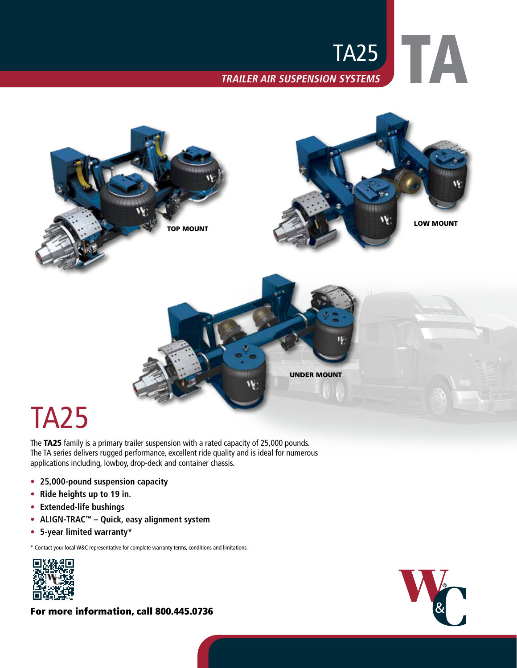



# TA25

The TA25 family is a primary trailer suspension with a rated capacity of 25,000 pounds. The TA series delivers rugged performance, excellent ride quality and is ideal for numerous applications including, lowboy, drop-deck and container chassis.

- **• 25,000-pound suspension capacity**
- **• Ride heights up to 19 in.**
- **• Extended-life bushings**
- **• ALIGN-TRAC™ Quick, easy alignment system**
- **• 5-year limited warranty\***

\* Contact your local W&C representative for complete warranty terms, conditions and limitations.



For more information, call 800.445.0736